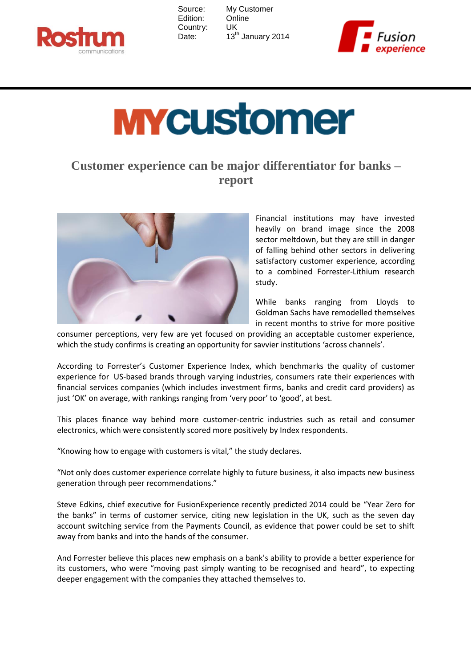

| Source:  |
|----------|
| Edition: |
| Country: |
| Date:    |

My Customer **Online** UK 13<sup>th</sup> January 2014



## **MYCUStomer**

## **Customer experience can be major differentiator for banks – report**



Financial institutions may have invested heavily on brand image since the 2008 sector meltdown, but they are still in danger of falling behind other sectors in delivering satisfactory customer experience, according to a combined Forrester-Lithium research study.

While banks ranging from Lloyds to Goldman Sachs have remodelled themselves in recent months to strive for more positive

consumer perceptions, very few are yet focused on providing an acceptable customer experience, which the study confirms is creating an opportunity for savvier institutions 'across channels'.

According to Forrester's Customer Experience Index, which benchmarks the quality of customer experience for US-based brands through varying industries, consumers rate their experiences with financial services companies (which includes investment firms, banks and credit card providers) as just 'OK' on average, with rankings ranging from 'very poor' to 'good', at best.

This places finance way behind more customer-centric industries such as retail and consumer electronics, which were consistently scored more positively by Index respondents.

"Knowing how to engage with customers is vital," the study declares.

"Not only does customer experience correlate highly to future business, it also impacts new business generation through peer recommendations."

Steve Edkins, chief executive for FusionExperience recently predicted 2014 could be "Year Zero for the banks" in terms of customer service, citing new legislation in the UK, such as the seven day account switching service from the Payments Council, as evidence that power could be set to shift away from banks and into the hands of the consumer.

And Forrester believe this places new emphasis on a bank's ability to provide a better experience for its customers, who were "moving past simply wanting to be recognised and heard", to expecting deeper engagement with the companies they attached themselves to.